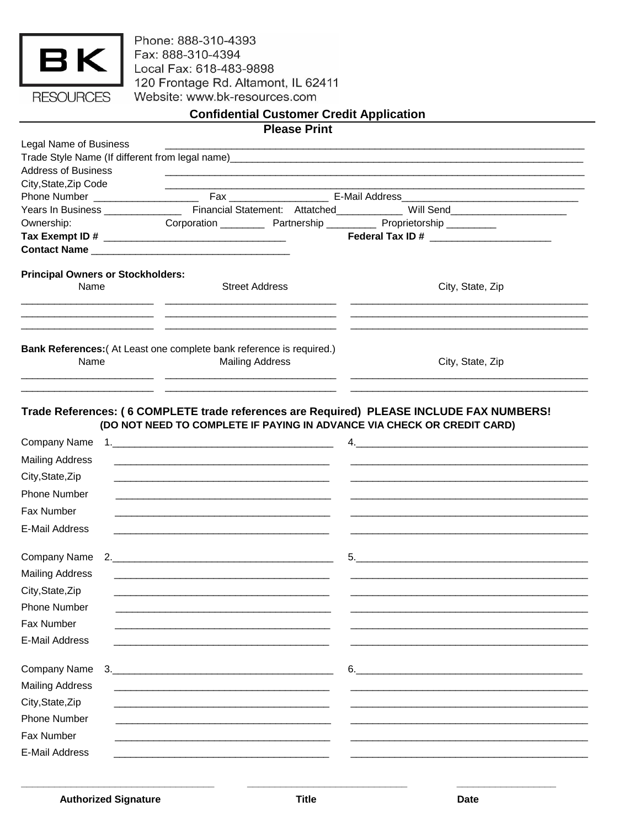| <b>ESOURCES</b> |  |
|-----------------|--|

Phone: 888-310-4393 Fax: 888-310-4394 Local Fax: 618-483-9898<br>120 Frontage Rd. Altamont, IL 62411 Website: www.bk-resources.com

|                                          |    |                                                                                                                  | <b>Confidential Customer Credit Application</b>                                                                     |                                                                                                                                                                     |  |
|------------------------------------------|----|------------------------------------------------------------------------------------------------------------------|---------------------------------------------------------------------------------------------------------------------|---------------------------------------------------------------------------------------------------------------------------------------------------------------------|--|
|                                          |    |                                                                                                                  | <b>Please Print</b>                                                                                                 |                                                                                                                                                                     |  |
| <b>Legal Name of Business</b>            |    |                                                                                                                  |                                                                                                                     |                                                                                                                                                                     |  |
| <b>Address of Business</b>               |    |                                                                                                                  |                                                                                                                     |                                                                                                                                                                     |  |
| City, State, Zip Code                    |    |                                                                                                                  |                                                                                                                     |                                                                                                                                                                     |  |
|                                          |    |                                                                                                                  |                                                                                                                     |                                                                                                                                                                     |  |
|                                          |    |                                                                                                                  |                                                                                                                     |                                                                                                                                                                     |  |
| Ownership:                               |    |                                                                                                                  |                                                                                                                     | Corporation _____________ Partnership _____________ Proprietorship ____________                                                                                     |  |
|                                          |    |                                                                                                                  |                                                                                                                     | Federal Tax ID # ________________________                                                                                                                           |  |
|                                          |    |                                                                                                                  |                                                                                                                     |                                                                                                                                                                     |  |
| <b>Principal Owners or Stockholders:</b> |    |                                                                                                                  |                                                                                                                     |                                                                                                                                                                     |  |
| Name                                     |    | <b>Street Address</b>                                                                                            |                                                                                                                     | City, State, Zip                                                                                                                                                    |  |
|                                          |    |                                                                                                                  | <u> 1989 - Jan Barbara (h. 1989).</u><br>1905 - Johann Barbara, frantziar idazlea (h. 1905).                        |                                                                                                                                                                     |  |
|                                          |    |                                                                                                                  |                                                                                                                     |                                                                                                                                                                     |  |
| Name                                     |    | Bank References: (At Least one complete bank reference is required.)<br><b>Mailing Address</b>                   |                                                                                                                     | City, State, Zip                                                                                                                                                    |  |
|                                          |    |                                                                                                                  |                                                                                                                     |                                                                                                                                                                     |  |
| Company Name                             |    |                                                                                                                  |                                                                                                                     | Trade References: (6 COMPLETE trade references are Required) PLEASE INCLUDE FAX NUMBERS!<br>(DO NOT NEED TO COMPLETE IF PAYING IN ADVANCE VIA CHECK OR CREDIT CARD) |  |
| <b>Mailing Address</b>                   |    |                                                                                                                  |                                                                                                                     |                                                                                                                                                                     |  |
|                                          |    | and the control of the control of the control of the control of the control of the control of the control of the |                                                                                                                     |                                                                                                                                                                     |  |
| City, State, Zip                         |    |                                                                                                                  |                                                                                                                     |                                                                                                                                                                     |  |
| Phone Number                             |    |                                                                                                                  | and the contract of the contract of the contract of the contract of the contract of the contract of the contract of |                                                                                                                                                                     |  |
| Fax Number                               |    |                                                                                                                  |                                                                                                                     |                                                                                                                                                                     |  |
| <b>E-Mail Address</b>                    |    |                                                                                                                  |                                                                                                                     |                                                                                                                                                                     |  |
|                                          |    |                                                                                                                  | Company Name 2.                                                                                                     | 5.                                                                                                                                                                  |  |
| <b>Mailing Address</b>                   |    |                                                                                                                  |                                                                                                                     |                                                                                                                                                                     |  |
| City, State, Zip                         |    |                                                                                                                  |                                                                                                                     |                                                                                                                                                                     |  |
| <b>Phone Number</b>                      |    |                                                                                                                  |                                                                                                                     |                                                                                                                                                                     |  |
| Fax Number                               |    |                                                                                                                  |                                                                                                                     |                                                                                                                                                                     |  |
|                                          |    |                                                                                                                  |                                                                                                                     |                                                                                                                                                                     |  |
| E-Mail Address                           |    |                                                                                                                  |                                                                                                                     |                                                                                                                                                                     |  |
| Company Name                             | 3. |                                                                                                                  |                                                                                                                     | 6.                                                                                                                                                                  |  |
| <b>Mailing Address</b>                   |    |                                                                                                                  |                                                                                                                     |                                                                                                                                                                     |  |
| City, State, Zip                         |    |                                                                                                                  |                                                                                                                     |                                                                                                                                                                     |  |
| <b>Phone Number</b>                      |    |                                                                                                                  |                                                                                                                     |                                                                                                                                                                     |  |
| Fax Number                               |    |                                                                                                                  |                                                                                                                     |                                                                                                                                                                     |  |
|                                          |    |                                                                                                                  |                                                                                                                     |                                                                                                                                                                     |  |
| E-Mail Address                           |    |                                                                                                                  |                                                                                                                     |                                                                                                                                                                     |  |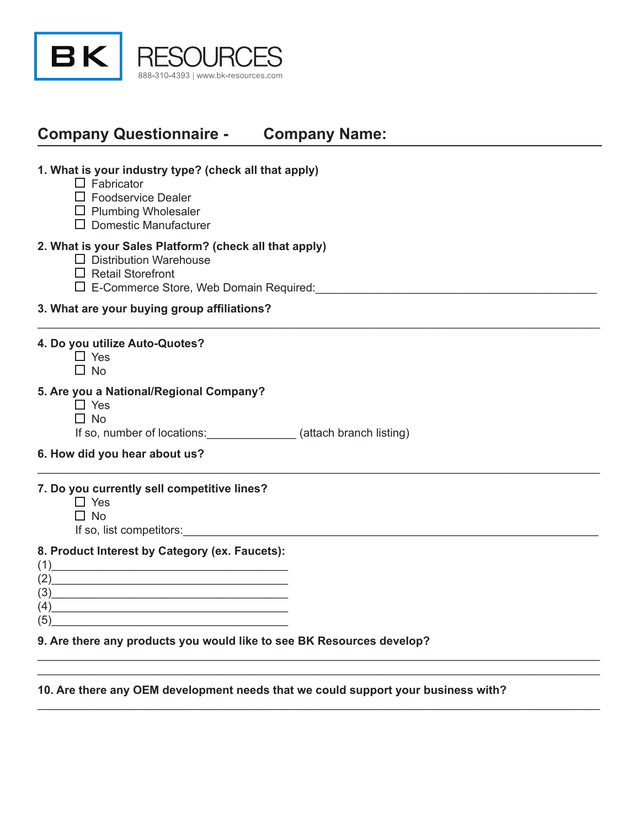

# **Company Questionnaire - Company Name:**

### **1. What is your industry type? (check all that apply)**

- $\Box$  Fabricator
- □ Foodservice Dealer
- $\Box$  Plumbing Wholesaler
- $\Box$  Domestic Manufacturer

#### **2. What is your Sales Platform? (check all that apply)**

- $\Box$  Distribution Warehouse
- □ Retail Storefront
- E-Commerce Store, Web Domain Required:\_\_\_\_\_\_\_\_\_\_\_\_\_\_\_\_\_\_\_\_\_\_\_\_\_\_\_\_\_\_\_\_\_\_\_\_\_\_\_\_\_\_\_\_

#### **3. What are your buying group affiliations?**

#### **4. Do you utilize Auto-Quotes?**

 $\Box$  Yes  $\Box$  No

#### **5. Are you a National/Regional Company?**

- □ Yes
- $\Box$  No

If so, number of locations:\_\_\_\_\_\_\_\_\_\_\_\_\_\_ (attach branch listing)

\_\_\_\_\_\_\_\_\_\_\_\_\_\_\_\_\_\_\_\_\_\_\_\_\_\_\_\_\_\_\_\_\_\_\_\_\_\_\_\_\_\_\_\_\_\_\_\_\_\_\_\_\_\_\_\_\_\_\_\_\_\_\_\_\_\_\_\_\_\_\_\_\_\_\_\_\_\_\_\_\_\_\_\_\_\_\_\_

\_\_\_\_\_\_\_\_\_\_\_\_\_\_\_\_\_\_\_\_\_\_\_\_\_\_\_\_\_\_\_\_\_\_\_\_\_\_\_\_\_\_\_\_\_\_\_\_\_\_\_\_\_\_\_\_\_\_\_\_\_\_\_\_\_\_\_\_\_\_\_\_\_\_\_\_\_\_\_\_\_\_\_\_\_\_\_\_

\_\_\_\_\_\_\_\_\_\_\_\_\_\_\_\_\_\_\_\_\_\_\_\_\_\_\_\_\_\_\_\_\_\_\_\_\_\_\_\_\_\_\_\_\_\_\_\_\_\_\_\_\_\_\_\_\_\_\_\_\_\_\_\_\_\_\_\_\_\_\_\_\_\_\_\_\_\_\_\_\_\_\_\_\_\_\_\_ \_\_\_\_\_\_\_\_\_\_\_\_\_\_\_\_\_\_\_\_\_\_\_\_\_\_\_\_\_\_\_\_\_\_\_\_\_\_\_\_\_\_\_\_\_\_\_\_\_\_\_\_\_\_\_\_\_\_\_\_\_\_\_\_\_\_\_\_\_\_\_\_\_\_\_\_\_\_\_\_\_\_\_\_\_\_\_\_

\_\_\_\_\_\_\_\_\_\_\_\_\_\_\_\_\_\_\_\_\_\_\_\_\_\_\_\_\_\_\_\_\_\_\_\_\_\_\_\_\_\_\_\_\_\_\_\_\_\_\_\_\_\_\_\_\_\_\_\_\_\_\_\_\_\_\_\_\_\_\_\_\_\_\_\_\_\_\_\_\_\_\_\_\_\_\_\_

**6. How did you hear about us?**

### **7. Do you currently sell competitive lines?**

- □ Yes
- $\Box$  No

If so, list competitors:

#### **8. Product Interest by Category (ex. Faucets):**

| (2) |  |
|-----|--|
| (3) |  |
| (4) |  |
| (5) |  |

#### **9. Are there any products you would like to see BK Resources develop?**

#### **10. Are there any OEM development needs that we could support your business with?**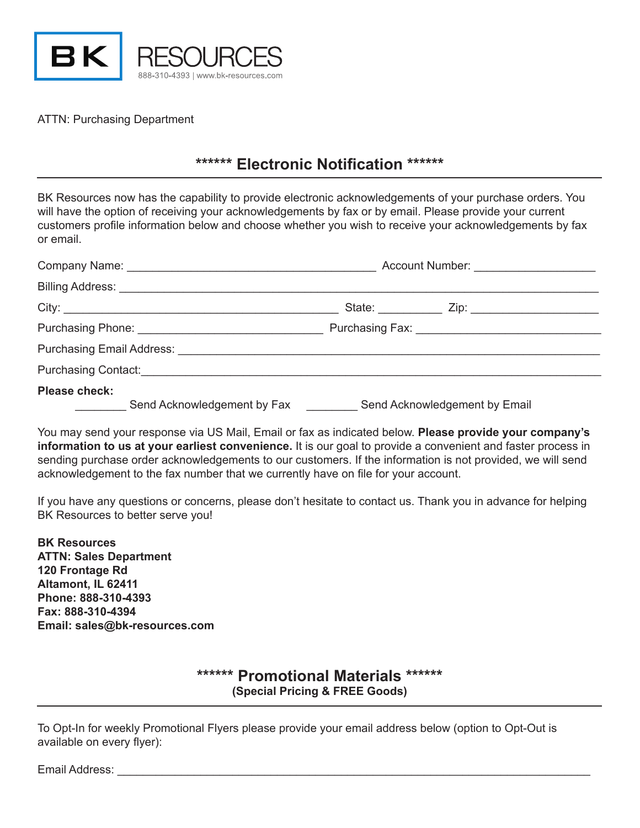

ATTN: Purchasing Department

## **\*\*\*\*\*\* Electronic Notification \*\*\*\*\*\***

BK Resources now has the capability to provide electronic acknowledgements of your purchase orders. You will have the option of receiving your acknowledgements by fax or by email. Please provide your current customers profile information below and choose whether you wish to receive your acknowledgements by fax or email.

|                                                              | Account Number: _____________________ |
|--------------------------------------------------------------|---------------------------------------|
|                                                              |                                       |
| City:                                                        |                                       |
|                                                              |                                       |
|                                                              |                                       |
| Purchasing Contact: <u>containing</u>                        |                                       |
| <b>Please check:</b><br>Send Acknowledgement by Fax ________ | Send Acknowledgement by Email         |

You may send your response via US Mail, Email or fax as indicated below. **Please provide your company's information to us at your earliest convenience.** It is our goal to provide a convenient and faster process in sending purchase order acknowledgements to our customers. If the information is not provided, we will send acknowledgement to the fax number that we currently have on file for your account.

If you have any questions or concerns, please don't hesitate to contact us. Thank you in advance for helping BK Resources to better serve you!

**BK Resources ATTN: Sales Department 120 Frontage Rd Altamont, IL 62411 Phone: 888-310-4393 Fax: 888-310-4394 Email: sales@bk-resources.com**

> **\*\*\*\*\*\* Promotional Materials \*\*\*\*\*\* (Special Pricing & FREE Goods)**

To Opt-In for weekly Promotional Flyers please provide your email address below (option to Opt-Out is available on every flyer):

Email Address: